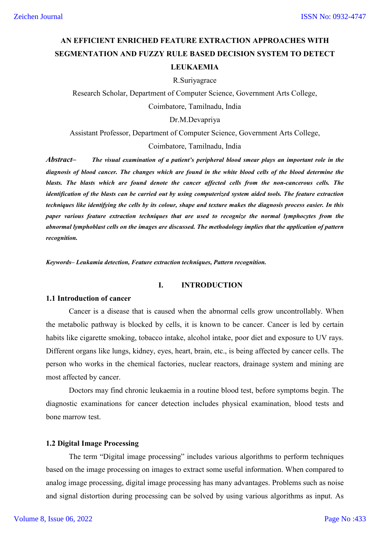# **AN EFFICIENT ENRICHED FEATURE EXTRACTION APPROACHES WITH SEGMENTATION AND FUZZY RULE BASED DECISION SYSTEM TO DETECT LEUKAEMIA**

#### R.Suriyagrace

Research Scholar, Department of Computer Science, Government Arts College, Coimbatore, Tamilnadu, India

#### Dr.M.Devapriya

Assistant Professor, Department of Computer Science, Government Arts College,

Coimbatore, Tamilnadu, India

*Abstract***–** *The visual examination of a patient's peripheral blood smear plays an important role in the diagnosis of blood cancer. The changes which are found in the white blood cells of the blood determine the blasts. The blasts which are found denote the cancer affected cells from the non-cancerous cells. The identification of the blasts can be carried out by using computerized system aided tools. The feature extraction techniques like identifying the cells by its colour, shape and texture makes the diagnosis process easier. In this paper various feature extraction techniques that are used to recognize the normal lymphocytes from the abnormal lymphoblast cells on the images are discussed. The methodology implies that the application of pattern recognition.*

*Keywords***–** *Leukamia detection, Feature extraction techniques, Pattern recognition.*

### **I. INTRODUCTION**

#### **1.1 Introduction of cancer**

Cancer is a disease that is caused when the abnormal cells grow uncontrollably. When the metabolic pathway is blocked by cells, it is known to be cancer. Cancer is led by certain habits like cigarette smoking, tobacco intake, alcohol intake, poor diet and exposure to UV rays. Different organs like lungs, kidney, eyes, heart, brain, etc., is being affected by cancer cells. The person who works in the chemical factories, nuclear reactors, drainage system and mining are most affected by cancer.

Doctors may find chronic leukaemia in a routine blood test, before symptoms begin. The diagnostic examinations for cancer detection includes physical examination, blood tests and bone marrow test.

#### **1.2 Digital Image Processing**

The term "Digital image processing" includes various algorithms to perform techniques based on the image processing on images to extract some useful information. When compared to analog image processing, digital image processing has many advantages. Problems such as noise and signal distortion during processing can be solved by using various algorithms as input. As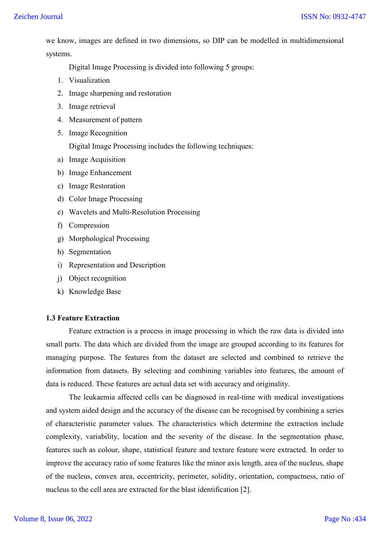we know, images are defined in two dimensions, so DIP can be modelled in multidimensional systems.

Digital Image Processing is divided into following 5 groups:

- 1. Visualization
- 2. Image sharpening and restoration
- 3. Image retrieval
- 4. Measurement of pattern
- 5. Image Recognition

Digital Image Processing includes the following techniques:

- a) Image Acquisition
- b) Image Enhancement
- c) Image Restoration
- d) Color Image Processing
- e) Wavelets and Multi-Resolution Processing
- f) Compression
- g) Morphological Processing
- h) Segmentation
- i) Representation and Description
- j) Object recognition
- k) Knowledge Base

# **1.3 Feature Extraction**

Feature extraction is a process in image processing in which the raw data is divided into small parts. The data which are divided from the image are grouped according to its features for managing purpose. The features from the dataset are selected and combined to retrieve the information from datasets. By selecting and combining variables into features, the amount of data is reduced. These features are actual data set with accuracy and originality.

The leukaemia affected cells can be diagnosed in real-time with medical investigations and system aided design and the accuracy of the disease can be recognised by combining a series of characteristic parameter values. The characteristics which determine the extraction include complexity, variability, location and the severity of the disease. In the segmentation phase, features such as colour, shape, statistical feature and texture feature were extracted. In order to improve the accuracy ratio of some features like the minor axis length, area of the nucleus, shape of the nucleus, convex area, eccentricity, perimeter, solidity, orientation, compactness, ratio of nucleus to the cell area are extracted for the blast identification [2].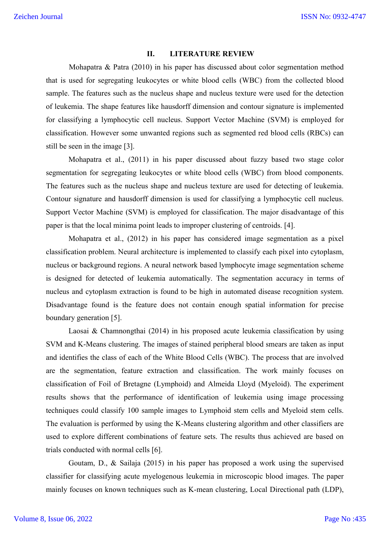#### **II. LITERATURE REVIEW**

Mohapatra & Patra (2010) in his paper has discussed about color segmentation method that is used for segregating leukocytes or white blood cells (WBC) from the collected blood sample. The features such as the nucleus shape and nucleus texture were used for the detection of leukemia. The shape features like hausdorff dimension and contour signature is implemented for classifying a lymphocytic cell nucleus. Support Vector Machine (SVM) is employed for classification. However some unwanted regions such as segmented red blood cells (RBCs) can still be seen in the image [3].

Mohapatra et al., (2011) in his paper discussed about fuzzy based two stage color segmentation for segregating leukocytes or white blood cells (WBC) from blood components. The features such as the nucleus shape and nucleus texture are used for detecting of leukemia. Contour signature and hausdorff dimension is used for classifying a lymphocytic cell nucleus. Support Vector Machine (SVM) is employed for classification. The major disadvantage of this paper is that the local minima point leads to improper clustering of centroids. [4].

Mohapatra et al., (2012) in his paper has considered image segmentation as a pixel classification problem. Neural architecture is implemented to classify each pixel into cytoplasm, nucleus or background regions. A neural network based lymphocyte image segmentation scheme is designed for detected of leukemia automatically. The segmentation accuracy in terms of nucleus and cytoplasm extraction is found to be high in automated disease recognition system. Disadvantage found is the feature does not contain enough spatial information for precise boundary generation [5].

Laosai & Chamnongthai (2014) in his proposed acute leukemia classification by using SVM and K-Means clustering. The images of stained peripheral blood smears are taken as input and identifies the class of each of the White Blood Cells (WBC). The process that are involved are the segmentation, feature extraction and classification. The work mainly focuses on classification of Foil of Bretagne (Lymphoid) and Almeida Lloyd (Myeloid). The experiment results shows that the performance of identification of leukemia using image processing techniques could classify 100 sample images to Lymphoid stem cells and Myeloid stem cells. The evaluation is performed by using the K-Means clustering algorithm and other classifiers are used to explore different combinations of feature sets. The results thus achieved are based on trials conducted with normal cells [6].

Goutam, D., & Sailaja (2015) in his paper has proposed a work using the supervised classifier for classifying acute myelogenous leukemia in microscopic blood images. The paper mainly focuses on known techniques such as K-mean clustering, Local Directional path (LDP),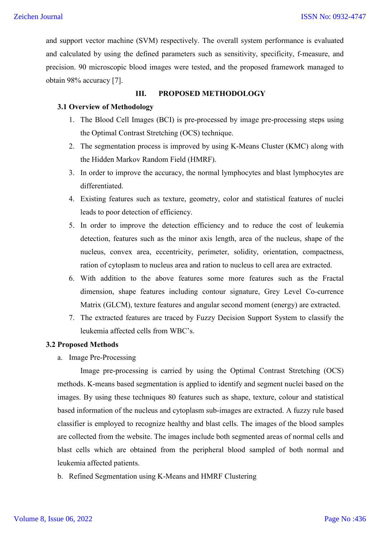and support vector machine (SVM) respectively. The overall system performance is evaluated and calculated by using the defined parameters such as sensitivity, specificity, f-measure, and precision. 90 microscopic blood images were tested, and the proposed framework managed to obtain 98% accuracy [7].

# **III. PROPOSED METHODOLOGY**

# **3.1 Overview of Methodology**

- 1. The Blood Cell Images (BCI) is pre-processed by image pre-processing steps using the Optimal Contrast Stretching (OCS) technique.
- 2. The segmentation process is improved by using K-Means Cluster (KMC) along with the Hidden Markov Random Field (HMRF).
- 3. In order to improve the accuracy, the normal lymphocytes and blast lymphocytes are differentiated.
- 4. Existing features such as texture, geometry, color and statistical features of nuclei leads to poor detection of efficiency.
- 5. In order to improve the detection efficiency and to reduce the cost of leukemia detection, features such as the minor axis length, area of the nucleus, shape of the nucleus, convex area, eccentricity, perimeter, solidity, orientation, compactness, ration of cytoplasm to nucleus area and ration to nucleus to cell area are extracted.
- 6. With addition to the above features some more features such as the Fractal dimension, shape features including contour signature, Grey Level Co-currence Matrix (GLCM), texture features and angular second moment (energy) are extracted.
- 7. The extracted features are traced by Fuzzy Decision Support System to classify the leukemia affected cells from WBC's.

## **3.2 Proposed Methods**

a. Image Pre-Processing

Image pre-processing is carried by using the Optimal Contrast Stretching (OCS) methods. K-means based segmentation is applied to identify and segment nuclei based on the images. By using these techniques 80 features such as shape, texture, colour and statistical based information of the nucleus and cytoplasm sub-images are extracted. A fuzzy rule based classifier is employed to recognize healthy and blast cells. The images of the blood samples are collected from the website. The images include both segmented areas of normal cells and blast cells which are obtained from the peripheral blood sampled of both normal and leukemia affected patients.

b. Refined Segmentation using K-Means and HMRF Clustering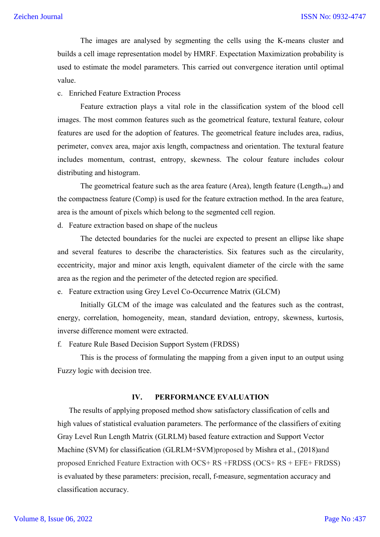The images are analysed by segmenting the cells using the K-means cluster and builds a cell image representation model by HMRF. Expectation Maximization probability is used to estimate the model parameters. This carried out convergence iteration until optimal value.

c. Enriched Feature Extraction Process

Feature extraction plays a vital role in the classification system of the blood cell images. The most common features such as the geometrical feature, textural feature, colour features are used for the adoption of features. The geometrical feature includes area, radius, perimeter, convex area, major axis length, compactness and orientation. The textural feature includes momentum, contrast, entropy, skewness. The colour feature includes colour distributing and histogram.

The geometrical feature such as the area feature (Area), length feature (Length<sub>var</sub>) and the compactness feature (Comp) is used for the feature extraction method. In the area feature, area is the amount of pixels which belong to the segmented cell region.

d. Feature extraction based on shape of the nucleus

The detected boundaries for the nuclei are expected to present an ellipse like shape and several features to describe the characteristics. Six features such as the circularity, eccentricity, major and minor axis length, equivalent diameter of the circle with the same area as the region and the perimeter of the detected region are specified.

e. Feature extraction using Grey Level Co-Occurrence Matrix (GLCM)

Initially GLCM of the image was calculated and the features such as the contrast, energy, correlation, homogeneity, mean, standard deviation, entropy, skewness, kurtosis, inverse difference moment were extracted.

f. Feature Rule Based Decision Support System (FRDSS)

This is the process of formulating the mapping from a given input to an output using Fuzzy logic with decision tree.

## **IV. PERFORMANCE EVALUATION**

The results of applying proposed method show satisfactory classification of cells and high values of statistical evaluation parameters. The performance of the classifiers of exiting Gray Level Run Length Matrix (GLRLM) based feature extraction and Support Vector Machine (SVM) for classification (GLRLM+SVM)proposed by Mishra et al., (2018)and proposed Enriched Feature Extraction with OCS+ RS +FRDSS (OCS+ RS + EFE+ FRDSS) is evaluated by these parameters: precision, recall, f-measure, segmentation accuracy and classification accuracy.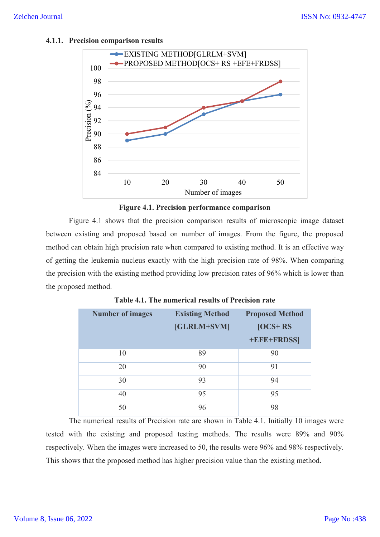## **4.1.1. Precision comparison results**





Figure 4.1 shows that the precision comparison results of microscopic image dataset between existing and proposed based on number of images. From the figure, the proposed method can obtain high precision rate when compared to existing method. It is an effective way of getting the leukemia nucleus exactly with the high precision rate of 98%. When comparing the precision with the existing method providing low precision rates of 96% which is lower than the proposed method.

| <b>Number of images</b> | <b>Existing Method</b><br>[GLRLM+SVM] | <b>Proposed Method</b><br>$[OCS+RS]$<br>+EFE+FRDSS] |
|-------------------------|---------------------------------------|-----------------------------------------------------|
| 10                      | 89                                    | 90                                                  |
| 20                      | 90                                    | 91                                                  |
| 30                      | 93                                    | 94                                                  |
| 40                      | 95                                    | 95                                                  |
| 50                      | 96                                    | 98                                                  |

**Table 4.1. The numerical results of Precision rate**

The numerical results of Precision rate are shown in Table 4.1. Initially 10 images were tested with the existing and proposed testing methods. The results were 89% and 90% respectively. When the images were increased to 50, the results were 96% and 98% respectively. This shows that the proposed method has higher precision value than the existing method.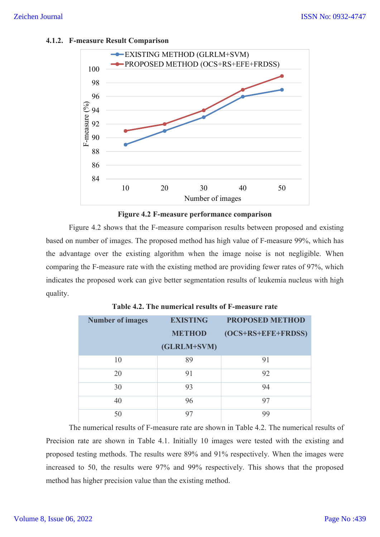# **4.1.2. F-measure Result Comparison**





Figure 4.2 shows that the F-measure comparison results between proposed and existing based on number of images. The proposed method has high value of F-measure 99%, which has the advantage over the existing algorithm when the image noise is not negligible. When comparing the F-measure rate with the existing method are providing fewer rates of 97%, which indicates the proposed work can give better segmentation results of leukemia nucleus with high quality.

| <b>Number of images</b> | <b>EXISTING</b><br><b>METHOD</b><br>(GLRLM+SVM) | <b>PROPOSED METHOD</b><br>$(OCS+RS+EFE+FRDSS)$ |
|-------------------------|-------------------------------------------------|------------------------------------------------|
| 10                      | 89                                              | 91                                             |
| 20                      | 91                                              | 92                                             |
| 30                      | 93                                              | 94                                             |
| 40                      | 96                                              | 97                                             |
| 50                      | 97                                              | 99                                             |

| Table 4.2. The numerical results of F-measure rate |
|----------------------------------------------------|
|----------------------------------------------------|

The numerical results of F-measure rate are shown in Table 4.2. The numerical results of Precision rate are shown in Table 4.1. Initially 10 images were tested with the existing and proposed testing methods. The results were 89% and 91% respectively. When the images were increased to 50, the results were 97% and 99% respectively. This shows that the proposed method has higher precision value than the existing method.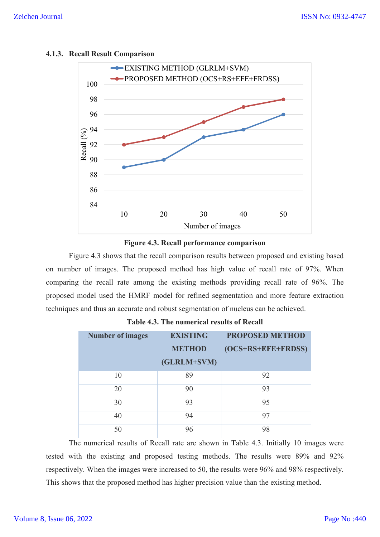

### **4.1.3. Recall Result Comparison**



Figure 4.3 shows that the recall comparison results between proposed and existing based on number of images. The proposed method has high value of recall rate of 97%. When comparing the recall rate among the existing methods providing recall rate of 96%. The proposed model used the HMRF model for refined segmentation and more feature extraction techniques and thus an accurate and robust segmentation of nucleus can be achieved.

| <b>Number of images</b> | <b>EXISTING</b> | <b>PROPOSED METHOD</b> |  |
|-------------------------|-----------------|------------------------|--|
|                         | <b>METHOD</b>   | (OCS+RS+EFE+FRDSS)     |  |
|                         | (GLRLM+SVM)     |                        |  |
| 10                      | 89              | 92                     |  |
| 20                      | 90              | 93                     |  |
| 30                      | 93              | 95                     |  |
| 40                      | 94              | 97                     |  |
| 50                      | 96              | 98                     |  |

| <b>Table 4.3. The numerical results of Recall</b> |  |  |
|---------------------------------------------------|--|--|
|---------------------------------------------------|--|--|

The numerical results of Recall rate are shown in Table 4.3. Initially 10 images were tested with the existing and proposed testing methods. The results were 89% and 92% respectively. When the images were increased to 50, the results were 96% and 98% respectively. This shows that the proposed method has higher precision value than the existing method.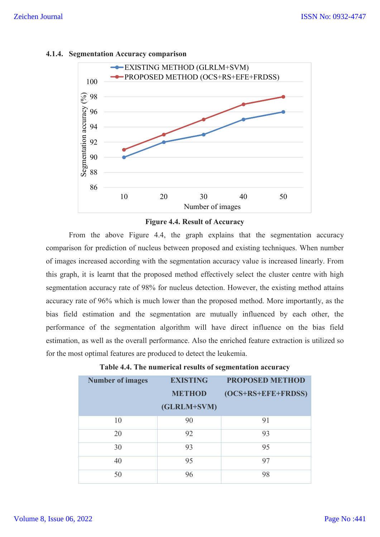

### **4.1.4. Segmentation Accuracy comparison**



From the above Figure 4.4, the graph explains that the segmentation accuracy comparison for prediction of nucleus between proposed and existing techniques. When number of images increased according with the segmentation accuracy value is increased linearly. From this graph, it is learnt that the proposed method effectively select the cluster centre with high segmentation accuracy rate of 98% for nucleus detection. However, the existing method attains accuracy rate of 96% which is much lower than the proposed method. More importantly, as the bias field estimation and the segmentation are mutually influenced by each other, the performance of the segmentation algorithm will have direct influence on the bias field estimation, as well as the overall performance. Also the enriched feature extraction is utilized so for the most optimal features are produced to detect the leukemia.

| <b>Number of images</b> | <b>EXISTING</b><br><b>METHOD</b><br>(GLRLM+SVM) | <b>PROPOSED METHOD</b><br>(OCS+RS+EFE+FRDSS) |
|-------------------------|-------------------------------------------------|----------------------------------------------|
| 10                      | 90                                              | 91                                           |
| 20                      | 92                                              | 93                                           |
| 30                      | 93                                              | 95                                           |
| 40                      | 95                                              | 97                                           |
| 50                      | 96                                              | 98                                           |

|  |  | Table 4.4. The numerical results of segmentation accuracy |  |
|--|--|-----------------------------------------------------------|--|
|  |  |                                                           |  |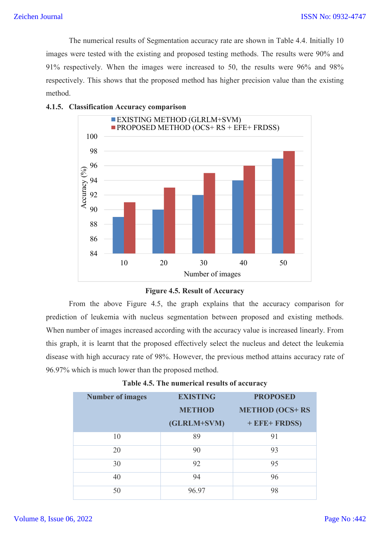The numerical results of Segmentation accuracy rate are shown in Table 4.4. Initially 10 images were tested with the existing and proposed testing methods. The results were 90% and 91% respectively. When the images were increased to 50, the results were 96% and 98% respectively. This shows that the proposed method has higher precision value than the existing method.



# **4.1.5. Classification Accuracy comparison**



From the above Figure 4.5, the graph explains that the accuracy comparison for prediction of leukemia with nucleus segmentation between proposed and existing methods. When number of images increased according with the accuracy value is increased linearly. From this graph, it is learnt that the proposed effectively select the nucleus and detect the leukemia disease with high accuracy rate of 98%. However, the previous method attains accuracy rate of 96.97% which is much lower than the proposed method.

| <b>Number of images</b> | <b>EXISTING</b><br><b>METHOD</b><br>(GLRLM+SVM) | <b>PROPOSED</b><br><b>METHOD (OCS+RS)</b><br>$+ EFE + FRDSS$ |
|-------------------------|-------------------------------------------------|--------------------------------------------------------------|
| 10                      | 89                                              | 91                                                           |
| 20                      | 90                                              | 93                                                           |
| 30                      | 92                                              | 95                                                           |
| 40                      | 94                                              | 96                                                           |
| 50                      | 96.97                                           | 98                                                           |

# **Table 4.5. The numerical results of accuracy**